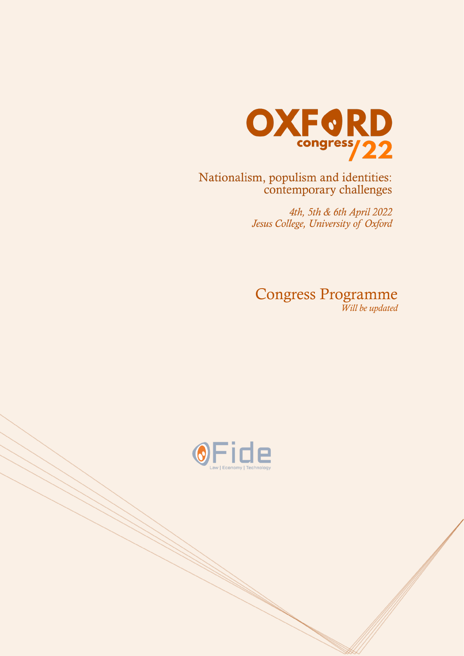

Nationalism, populism and identities:<br>contemporary challenges

4th, 5th & 6th April 2022 Jesus College, University of Oxford

Congress Programme *Will be updated*



j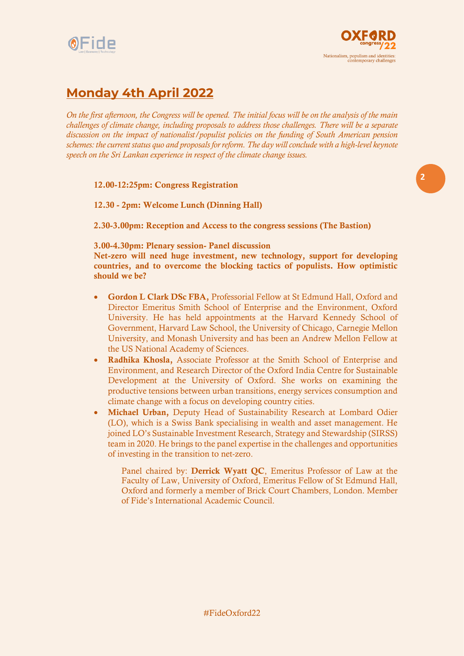



# **Monday 4th April 2022**

*On the first afternoon, the Congress will be opened. The initial focus will be on the analysis of the main challenges of climate change, including proposals to address those challenges. There will be a separate discussion on the impact of nationalist/populist policies on the funding of South American pension schemes: the current status quo and proposals for reform. The day will conclude with a high-level keynote speech on the Sri Lankan experience in respect of the climate change issues.*

12.00-12:25pm: Congress Registration

12.30 - 2pm: Welcome Lunch (Dinning Hall)

2.30-3.00pm: Reception and Access to the congress sessions (The Bastion)

3.00-4.30pm: Plenary session- Panel discussion

Net-zero will need huge investment, new technology, support for developing countries, and to overcome the blocking tactics of populists. How optimistic should we be?

- Gordon L Clark DSc FBA, Professorial Fellow at St Edmund Hall, Oxford and Director Emeritus Smith School of Enterprise and the Environment, Oxford University. He has held appointments at the Harvard Kennedy School of Government, Harvard Law School, the University of Chicago, Carnegie Mellon University, and Monash University and has been an Andrew Mellon Fellow at the US National Academy of Sciences.
- Radhika Khosla, Associate Professor at the Smith School of Enterprise and Environment, and Research Director of the Oxford India Centre for Sustainable Development at the University of Oxford. She works on examining the productive tensions between urban transitions, energy services consumption and climate change with a focus on developing country cities.
- Michael Urban, Deputy Head of Sustainability Research at Lombard Odier (LO), which is a Swiss Bank specialising in wealth and asset management. He joined LO's Sustainable Investment Research, Strategy and Stewardship (SIRSS) team in 2020. He brings to the panel expertise in the challenges and opportunities of investing in the transition to net-zero.

Panel chaired by: Derrick Wyatt QC, Emeritus Professor of Law at the Faculty of Law, University of Oxford, Emeritus Fellow of St Edmund Hall, Oxford and formerly a member of Brick Court Chambers, London. Member of Fide's International Academic Council.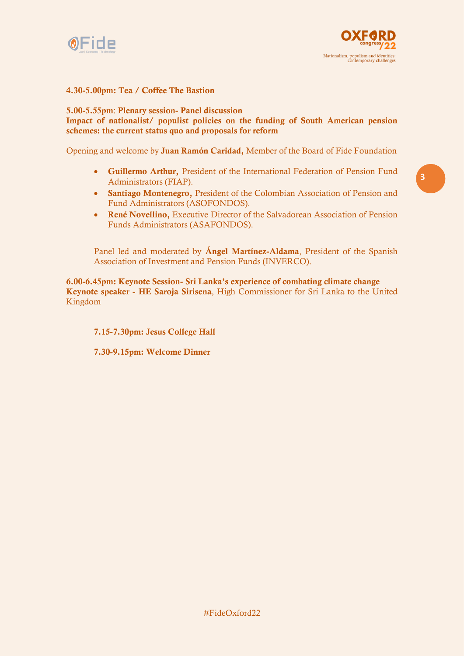



### 4.30-5.00pm: Tea / Coffee The Bastion

## 5.00-5.55pm: Plenary session- Panel discussion Impact of nationalist/ populist policies on the funding of South American pension schemes: the current status quo and proposals for reform

Opening and welcome by Juan Ramón Caridad, Member of the Board of Fide Foundation

- Guillermo Arthur, President of the International Federation of Pension Fund Administrators (FIAP).
- Santiago Montenegro, President of the Colombian Association of Pension and Fund Administrators (ASOFONDOS).
- René Novellino, Executive Director of the Salvadorean Association of Pension Funds Administrators (ASAFONDOS).

Panel led and moderated by **Ángel Martínez-Aldama**, President of the Spanish Association of Investment and Pension Funds (INVERCO).

6.00-6.45pm: Keynote Session- Sri Lanka's experience of combating climate change Keynote speaker - HE Saroja Sirisena, High Commissioner for Sri Lanka to the United Kingdom

7.15-7.30pm: Jesus College Hall

7.30-9.15pm: Welcome Dinner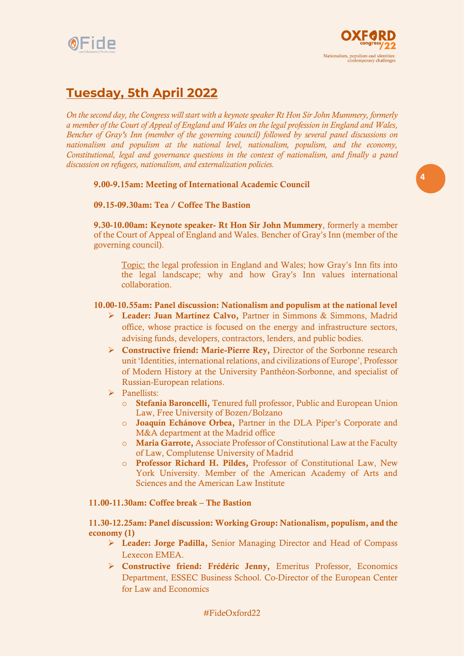



# **Tuesday, 5th April 2022**

*On the second day, the Congress will start with a keynote speaker Rt Hon Sir John Mummery, formerly a member of the Court of Appeal of England and Wales on the legal profession in England and Wales, Bencher of Gray's Inn (member of the governing council) followed by several panel discussions on nationalism and populism at the national level, nationalism, populism, and the economy, Constitutional, legal and governance questions in the context of nationalism, and finally a panel discussion on refugees, nationalism, and externalization policies.*

## 9.00-9.15am: Meeting of International Academic Council

## 09.15-09.30am: Tea / Coffee The Bastion

9.30-10.00am: Keynote speaker- Rt Hon Sir John Mummery, formerly a member of the Court of Appeal of England and Wales. Bencher of Gray's Inn (member of the governing council).

Topic: the legal profession in England and Wales; how Gray's Inn fits into the legal landscape; why and how Gray's Inn values international collaboration.

#### 10.00-10.55am: Panel discussion: Nationalism and populism at the national level

- ➢ Leader: Juan Martínez Calvo, Partner in Simmons & Simmons, Madrid office, whose practice is focused on the energy and infrastructure sectors, advising funds, developers, contractors, lenders, and public bodies.
- ➢ Constructive friend: Marie-Pierre Rey, Director of the Sorbonne research unit 'Identities, international relations, and civilizations of Europe', Professor of Modern History at the University Panthéon-Sorbonne, and specialist of Russian-European relations.
- ➢ Panellists:
	- o Stefania Baroncelli, Tenured full professor, Public and European Union Law, Free University of Bozen/Bolzano
	- o Joaquín Echánove Orbea, Partner in the DLA Piper's Corporate and M&A department at the Madrid office
	- o Maria Garrote, Associate Professor of Constitutional Law at the Faculty of Law, Complutense University of Madrid
	- o Professor Richard H. Pildes, Professor of Constitutional Law, New York University. Member of the American Academy of Arts and Sciences and the American Law Institute

#### 11.00-11.30am: Coffee break – The Bastion

11.30-12.25am: Panel discussion: Working Group: Nationalism, populism, and the economy (1)

- ➢ Leader: Jorge Padilla, Senior Managing Director and Head of Compass Lexecon EMEA.
- ➢ Constructive friend: Frédéric Jenny, Emeritus Professor, Economics Department, ESSEC Business School. Co-Director of the European Center for Law and Economics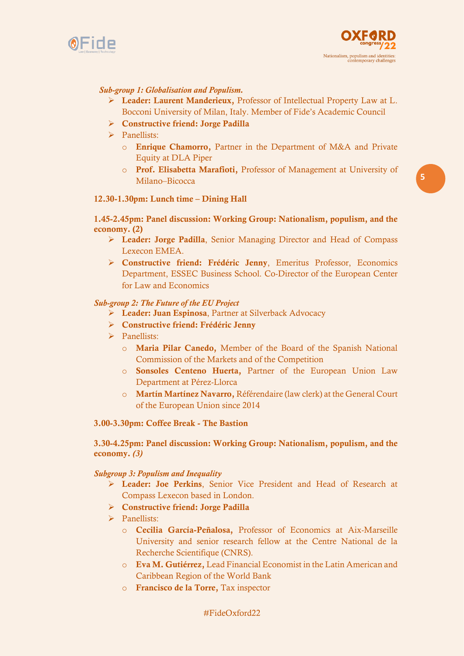



# *Sub-group 1: Globalisation and Populism.*

- ➢ Leader: Laurent Manderieux, Professor of Intellectual Property Law at L. Bocconi University of Milan, Italy. Member of Fide's Academic Council
- ➢ Constructive friend: Jorge Padilla
- ➢ Panellists:
	- o Enrique Chamorro, Partner in the Department of M&A and Private Equity at DLA Piper
	- o Prof. Elisabetta Marafioti, Professor of Management at University of Milano–Bicocca

## 12.30-1.30pm: Lunch time – Dining Hall

# 1.45-2.45pm: Panel discussion: Working Group: Nationalism, populism, and the economy. (2)

- ➢ Leader: Jorge Padilla, Senior Managing Director and Head of Compass Lexecon EMEA.
- ➢ Constructive friend: Frédéric Jenny, Emeritus Professor, Economics Department, ESSEC Business School. Co-Director of the European Center for Law and Economics

## *Sub-group 2: The Future of the EU Project*

- ➢ Leader: Juan Espinosa, Partner at Silverback Advocacy
- ➢ Constructive friend: Frédéric Jenny
- ➢ Panellists:
	- o Maria Pilar Canedo, Member of the Board of the Spanish National Commission of the Markets and of the Competition
	- o Sonsoles Centeno Huerta, Partner of the European Union Law Department at Pérez-Llorca
	- o Martín Martínez Navarro, Référendaire (law clerk) at the General Court of the European Union since 2014

## 3.00-3.30pm: Coffee Break - The Bastion

# 3.30-4.25pm: Panel discussion: Working Group: Nationalism, populism, and the economy. *(3)*

#### *Subgroup 3: Populism and Inequality*

- ➢ Leader: Joe Perkins, Senior Vice President and Head of Research at Compass Lexecon based in London.
- ➢ Constructive friend: Jorge Padilla
- ➢ Panellists:
	- o Cecilia García-Peñalosa, Professor of Economics at Aix-Marseille University and senior research fellow at the Centre National de la Recherche Scientifique (CNRS).
	- o Eva M. Gutiérrez, Lead Financial Economist in the Latin American and Caribbean Region of the World Bank
	- o Francisco de la Torre, Tax inspector

# [#FideOxford22](https://thinkfide.com/en/oxford-22-nationalism-populism-and-identities-contemporary-challenges/)

**5**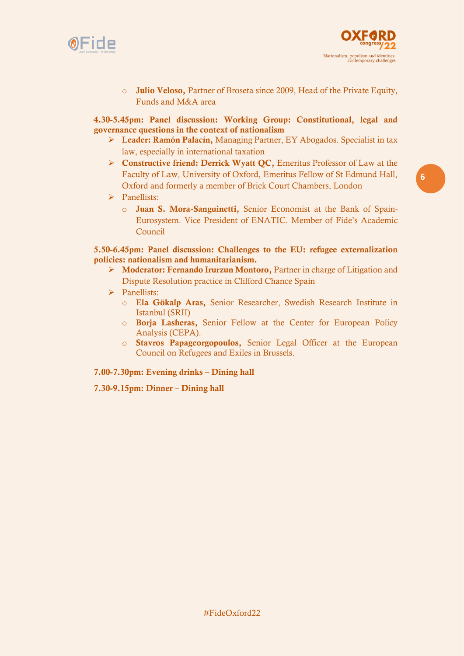



o Julio Veloso, Partner of Broseta since 2009, Head of the Private Equity, Funds and M&A area

## 4.30-5.45pm: Panel discussion: Working Group: Constitutional, legal and governance questions in the context of nationalism

- ➢ Leader: Ramón Palacín, Managing Partner, EY Abogados. Specialist in tax law, especially in international taxation
- ➢ Constructive friend: Derrick Wyatt QC, Emeritus Professor of Law at the Faculty of Law, University of Oxford, Emeritus Fellow of St Edmund Hall, Oxford and formerly a member of Brick Court Chambers, London
- ➢ Panellists:
	- o Juan S. Mora-Sanguinetti, Senior Economist at the Bank of Spain-Eurosystem. Vice President of ENATIC. Member of Fide's Academic Council

## 5.50-6.45pm: Panel discussion: Challenges to the EU: refugee externalization policies: nationalism and humanitarianism.

- ➢ Moderator: Fernando Irurzun Montoro, Partner in charge of Litigation and Dispute Resolution practice in Clifford Chance Spain
- ➢ Panellists:
	- o Ela Gökalp Aras, Senior Researcher, Swedish Research Institute in Istanbul (SRII)
	- o Borja Lasheras, Senior Fellow at the Center for European Policy Analysis (CEPA).
	- o Stavros Papageorgopoulos, Senior Legal Officer at the European Council on Refugees and Exiles in Brussels.

# 7.00-7.30pm: Evening drinks – Dining hall

7.30-9.15pm: Dinner – Dining hall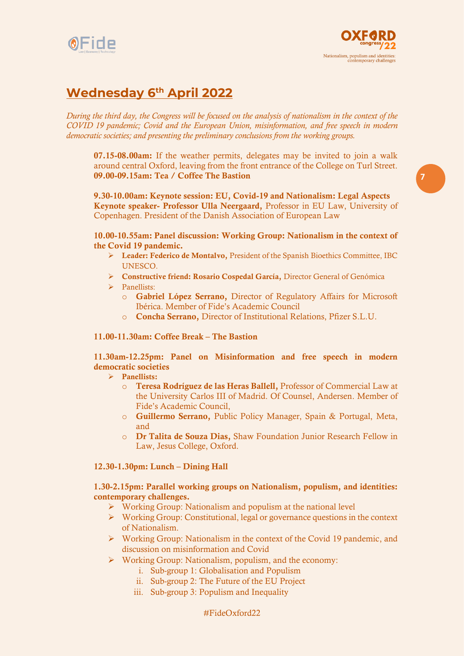



**7**

# **Wednesday 6 th April 2022**

*During the third day, the Congress will be focused on the analysis of nationalism in the context of the COVID 19 pandemic; Covid and the European Union, misinformation, and free speech in modern democratic societies; and presenting the preliminary conclusions from the working groups.*

07.15-08.00am: If the weather permits, delegates may be invited to join a walk around central Oxford, leaving from the front entrance of the College on Turl Street. 09.00-09.15am: Tea / Coffee The Bastion

9.30-10.00am: Keynote session: EU, Covid-19 and Nationalism: Legal Aspects Keynote speaker- Professor Ulla Neergaard, Professor in EU Law, University of Copenhagen. President of the Danish Association of European Law

10.00-10.55am: Panel discussion: Working Group: Nationalism in the context of the Covid 19 pandemic.

- ➢ Leader: Federico de Montalvo, President of the Spanish Bioethics Committee, IBC **UNESCO.**
- ➢ Constructive friend: Rosario Cospedal García, Director General of Genómica
- ➢ Panellists:
	- o Gabriel López Serrano, Director of Regulatory Affairs for Microsoft Ibérica. Member of Fide's Academic Council
	- o Concha Serrano, Director of Institutional Relations, Pfizer S.L.U.

## 11.00-11.30am: Coffee Break – The Bastion

11.30am-12.25pm: Panel on Misinformation and free speech in modern democratic societies

- ➢ Panellists:
	- o Teresa Rodríguez de las Heras Ballell, Professor of Commercial Law at the University Carlos III of Madrid. Of Counsel, Andersen. Member of Fide's Academic Council,
	- o Guillermo Serrano, Public Policy Manager, Spain & Portugal, Meta, and
	- o Dr Talita de Souza Dias, Shaw Foundation Junior Research Fellow in Law, Jesus College, Oxford.

### 12.30-1.30pm: Lunch – Dining Hall

1.30-2.15pm: Parallel working groups on Nationalism, populism, and identities: contemporary challenges.

- ➢ Working Group: Nationalism and populism at the national level
- ➢ Working Group: Constitutional, legal or governance questions in the context of Nationalism.
- ➢ Working Group: Nationalism in the context of the Covid 19 pandemic, and discussion on misinformation and Covid
- ➢ Working Group: Nationalism, populism, and the economy:
	- i. Sub-group 1: Globalisation and Populism
	- ii. Sub-group 2: The Future of the EU Project
	- iii. Sub-group 3: Populism and Inequality